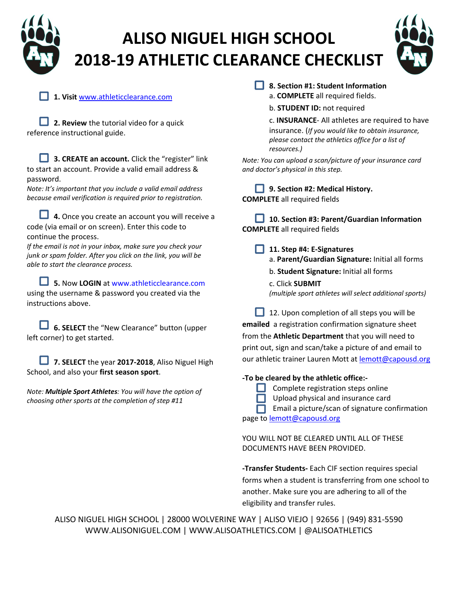

## **ALISO NIGUEL HIGH SCHOOL 2018‐19 ATHLETIC CLEARANCE CHECKLIST**



**1. Visit** www.athleticclearance.com

**2. Review** the tutorial video for a quick reference instructional guide.

**3. CREATE an account.** Click the "register" link to start an account. Provide a valid email address & password.

*Note: It's important that you include a valid email address because email verification is required prior to registration.* 

**4.** Once you create an account you will receive a code (via email or on screen). Enter this code to continue the process.

*If the email is not in your inbox, make sure you check your junk or spam folder. After you click on the link, you will be able to start the clearance process.* 

**5.** Now **LOGIN** at www.athleticclearance.com using the username & password you created via the instructions above.

**6. SELECT** the "New Clearance" button (upper left corner) to get started.

**7. SELECT** the year **2017‐2018**, Aliso Niguel High School, and also your **first season sport**.

*Note: Multiple Sport Athletes: You will have the option of choosing other sports at the completion of step #11*

- **8. Section #1: Student Information** a. **COMPLETE** all required fields.
	- b. **STUDENT ID:** not required

c. **INSURANCE**‐ All athletes are required to have insurance. (*If you would like to obtain insurance, please contact the athletics office for a list of resources.)*

*Note: You can upload a scan/picture of your insurance card and doctor's physical in this step.* 

**9. Section #2: Medical History. COMPLETE** all required fields

**10. Section #3: Parent/Guardian Information COMPLETE** all required fields

**11. Step #4: E‐Signatures**

- a. **Parent/Guardian Signature:** Initial all forms
- b. **Student Signature:** Initial all forms
- c. Click **SUBMIT**  *(multiple sport athletes will select additional sports)*

12. Upon completion of all steps you will be **emailed** a registration confirmation signature sheet from the **Athletic Department** that you will need to print out, sign and scan/take a picture of and email to

our athletic trainer Lauren Mott at lemott@capousd.org

#### **‐To be cleared by the athletic office:‐**

- Complete registration steps online
- Upload physical and insurance card

Email a picture/scan of signature confirmation

page to **lemott@capousd.org** 

YOU WILL NOT BE CLEARED UNTIL ALL OF THESE DOCUMENTS HAVE BEEN PROVIDED.

**‐Transfer Students‐** Each CIF section requires special forms when a student is transferring from one school to another. Make sure you are adhering to all of the eligibility and transfer rules.

ALISO NIGUEL HIGH SCHOOL | 28000 WOLVERINE WAY | ALISO VIEJO | 92656 | (949) 831‐5590 WWW.ALISONIGUEL.COM | WWW.ALISOATHLETICS.COM | @ALISOATHLETICS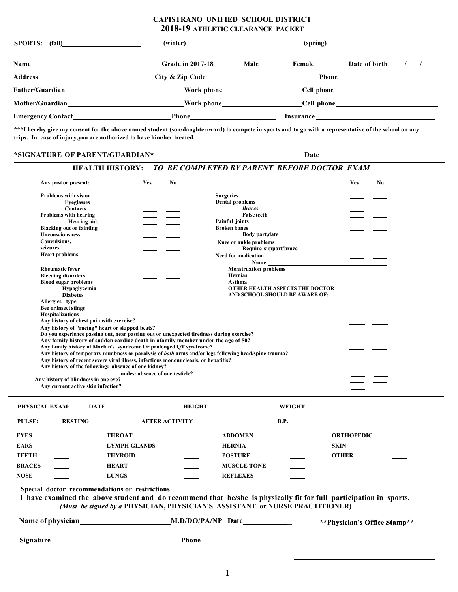#### **CAPISTRANO UNIFIED SCHOOL DISTRICT 2018-19 ATHLETIC CLEARANCE PACKET**

| SPORTS: (fall) |                                                                                                                |  |                                                                                                                                                                                                                                |                          |  |  |
|----------------|----------------------------------------------------------------------------------------------------------------|--|--------------------------------------------------------------------------------------------------------------------------------------------------------------------------------------------------------------------------------|--------------------------|--|--|
|                |                                                                                                                |  |                                                                                                                                                                                                                                | Female Date of birth / / |  |  |
|                | City & Zip Code<br><u>City &amp; Zip Code</u>                                                                  |  |                                                                                                                                                                                                                                |                          |  |  |
|                |                                                                                                                |  | Nork phone example of the Cell phone example of the contract of the contract of the contract of the contract of the contract of the contract of the contract of the contract of the contract of the contract of the contract o |                          |  |  |
|                | Mother/Guardian Mother/Guardian Mother/Guardian Mother/Guardian Mother/Guardian Mother/Guardian Mother/Guardia |  |                                                                                                                                                                                                                                |                          |  |  |
|                |                                                                                                                |  |                                                                                                                                                                                                                                |                          |  |  |

**\*\*\*I hereby give my consent for the above named student (son/daughter/ward) to compete in sports and to go with a representative of the school on any trips. In case of injury,you are authorized to have him/her treated.**

#### **\*SIGNATURE OF PARENT/GUARDIAN\* Date**

#### **HEALTH HISTORY:** *TO BE COMPLETED BY PARENT BEFORE DOCTOR EXAM*

| Any past or present:                   |                                          | $Yes$                                                                                                              | <u>No</u> |                              |                                        | Yes               | $No$                          |
|----------------------------------------|------------------------------------------|--------------------------------------------------------------------------------------------------------------------|-----------|------------------------------|----------------------------------------|-------------------|-------------------------------|
| <b>Problems with vision</b>            |                                          |                                                                                                                    |           | <b>Surgeries</b>             |                                        |                   |                               |
|                                        | <b>Eveglasses</b>                        |                                                                                                                    |           | <b>Dental problems</b>       |                                        |                   |                               |
|                                        | <b>Contacts</b>                          |                                                                                                                    |           | <b>Braces</b>                |                                        |                   |                               |
| <b>Problems with hearing</b>           |                                          |                                                                                                                    |           | <b>False teeth</b>           |                                        |                   |                               |
|                                        | Hearing aid.                             |                                                                                                                    |           | Painful joints               |                                        |                   |                               |
| <b>Blacking out or fainting</b>        |                                          |                                                                                                                    |           | <b>Broken bones</b>          |                                        |                   |                               |
| Unconsciousness                        |                                          |                                                                                                                    |           |                              | Body part, date                        |                   |                               |
| Convulsions,                           |                                          |                                                                                                                    |           | Knee or ankle problems       |                                        |                   |                               |
| seizures                               |                                          |                                                                                                                    |           | Require support/brace        |                                        |                   |                               |
| <b>Heart problems</b>                  |                                          |                                                                                                                    |           | <b>Need for medication</b>   |                                        |                   |                               |
|                                        |                                          |                                                                                                                    |           | <b>Name</b>                  |                                        |                   |                               |
| <b>Rheumatic fever</b>                 |                                          |                                                                                                                    |           | <b>Menstruation problems</b> |                                        |                   |                               |
| <b>Bleeding disorders</b>              |                                          |                                                                                                                    |           | <b>Hernias</b>               |                                        |                   |                               |
| <b>Blood sugar problems</b>            |                                          |                                                                                                                    |           | Asthma                       |                                        |                   |                               |
|                                        | Hypoglycemia                             |                                                                                                                    |           |                              | <b>OTHER HEALTH ASPECTS THE DOCTOR</b> |                   |                               |
|                                        | <b>Diabetes</b>                          |                                                                                                                    |           |                              | AND SCHOOL SHOULD BE AWARE OF:         |                   |                               |
| Allergies-type<br>Bee or insect stings |                                          |                                                                                                                    |           |                              |                                        |                   |                               |
| <b>Hospitalizations</b>                |                                          |                                                                                                                    |           |                              |                                        |                   |                               |
|                                        | Any history of chest pain with exercise? |                                                                                                                    |           |                              |                                        |                   |                               |
|                                        |                                          | Any history of "racing" heart or skipped beats?                                                                    |           |                              |                                        |                   |                               |
|                                        |                                          | Do you experience passing out, near passing out or unexpected tiredness during exercise?                           |           |                              |                                        |                   |                               |
|                                        |                                          | Any family history of sudden cardiac death in afamily member under the age of 50?                                  |           |                              |                                        |                   |                               |
|                                        |                                          | Any family history of Marfan's syndrome Or prolonged QT syndrome?                                                  |           |                              |                                        |                   |                               |
|                                        |                                          | Any history of temporary numbness or paralysis of both arms and/or legs following head/spine trauma?               |           |                              |                                        |                   |                               |
|                                        |                                          | Any history of recent severe viral illness, infectious mononucleosis, or hepatitis?                                |           |                              |                                        |                   |                               |
|                                        |                                          | Any history of the following: absence of one kidney?                                                               |           |                              |                                        |                   |                               |
|                                        |                                          | males: absence of one testicle?                                                                                    |           |                              |                                        |                   |                               |
| Any history of blindness in one eye?   |                                          |                                                                                                                    |           |                              |                                        |                   |                               |
|                                        | Any current active skin infection?       |                                                                                                                    |           |                              |                                        |                   |                               |
| PHYSICAL EXAM:                         |                                          | DATE HEIGHT WEIGHT WEIGHT                                                                                          |           |                              |                                        |                   |                               |
|                                        |                                          |                                                                                                                    |           |                              |                                        |                   |                               |
| <b>PULSE:</b>                          |                                          | RESTING AFTER ACTIVITY B.P.                                                                                        |           |                              |                                        |                   |                               |
| EYES                                   |                                          | <b>THROAT</b>                                                                                                      |           | <b>ABDOMEN</b>               |                                        | <b>ORTHOPEDIC</b> |                               |
| EARS                                   |                                          | <b>LYMPH GLANDS</b>                                                                                                |           | <b>HERNIA</b>                |                                        | <b>SKIN</b>       |                               |
| TEETH                                  |                                          | <b>THYROID</b>                                                                                                     |           | <b>POSTURE</b>               |                                        | <b>OTHER</b>      |                               |
| <b>BRACES</b>                          |                                          | <b>HEART</b>                                                                                                       |           | <b>MUSCLE TONE</b>           |                                        |                   |                               |
| NOSE                                   |                                          | <b>LUNGS</b>                                                                                                       |           | <b>REFLEXES</b>              |                                        |                   |                               |
|                                        |                                          | Special doctor recommendations or restrictions                                                                     |           |                              |                                        |                   |                               |
|                                        |                                          | I have examined the above student and do recommend that he/she is physically fit for full participation in sports. |           |                              |                                        |                   |                               |
|                                        |                                          |                                                                                                                    |           |                              |                                        |                   |                               |
|                                        |                                          | (Must be signed by a PHYSICIAN, PHYSICIAN'S ASSISTANT or NURSE PRACTITIONER)                                       |           |                              |                                        |                   |                               |
|                                        |                                          |                                                                                                                    |           |                              |                                        |                   | ** Physician's Office Stamp** |
|                                        |                                          |                                                                                                                    |           |                              |                                        |                   |                               |
| Signature                              |                                          |                                                                                                                    | Phone     |                              |                                        |                   |                               |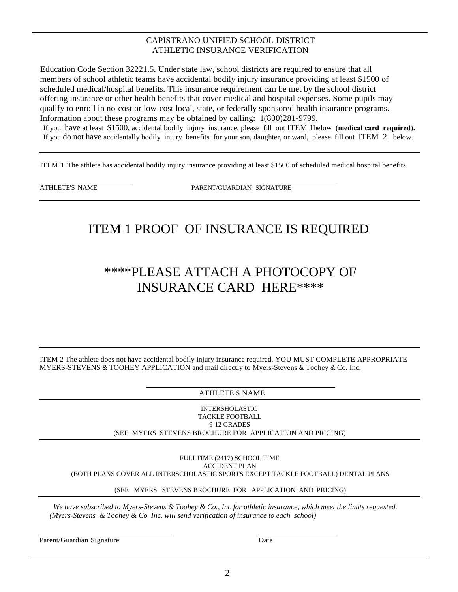#### CAPISTRANO UNIFIED SCHOOL DISTRICT ATHLETIC INSURANCE VERIFICATION

Education Code Section 32221.5. Under state law, school districts are required to ensure that all members of school athletic teams have accidental bodily injury insurance providing at least \$1500 of scheduled medical/hospital benefits. This insurance requirement can be met by the school district offering insurance or other health benefits that cover medical and hospital expenses. Some pupils may qualify to enroll in no-cost or low-cost local, state, or federally sponsored health insurance programs. Information about these programs may be obtained by calling: 1(800)281-9799. If you have at least \$1500, accidental bodily injury insurance, please fill out ITEM 1below **(medical card required).** If you do not have accidentally bodily injury benefits for your son, daughter, or ward, please fill out ITEM 2 below.

ITEM 1 The athlete has accidental bodily injury insurance providing at least \$1500 of scheduled medical hospital benefits.

ATHLETE'S NAME PARENT/GUARDIAN SIGNATURE

### ITEM 1 PROOF OF INSURANCE IS REQUIRED

### \*\*\*\*PLEASE ATTACH A PHOTOCOPY OF INSURANCE CARD HERE\*\*\*\*

ITEM 2 The athlete does not have accidental bodily injury insurance required. YOU MUST COMPLETE APPROPRIATE MYERS-STEVENS & TOOHEY APPLICATION and mail directly to Myers-Stevens & Toohey & Co. Inc.

ATHLETE'S NAME

INTERSHOLASTIC TACKLE FOOTBALL 9-12 GRADES (SEE MYERS STEVENS BROCHURE FOR APPLICATION AND PRICING)

FULLTIME (2417) SCHOOL TIME ACCIDENT PLAN (BOTH PLANS COVER ALL INTERSCHOLASTIC SPORTS EXCEPT TACKLE FOOTBALL) DENTAL PLANS

(SEE MYERS STEVENS BROCHURE FOR APPLICATION AND PRICING)

*We have subscribed to Myers-Stevens & Toohey & Co., Inc for athletic insurance, which meet the limits requested. (Myers-Stevens & Toohey & Co. Inc. will send verification of insurance to each school)*

Parent/Guardian Signature Date